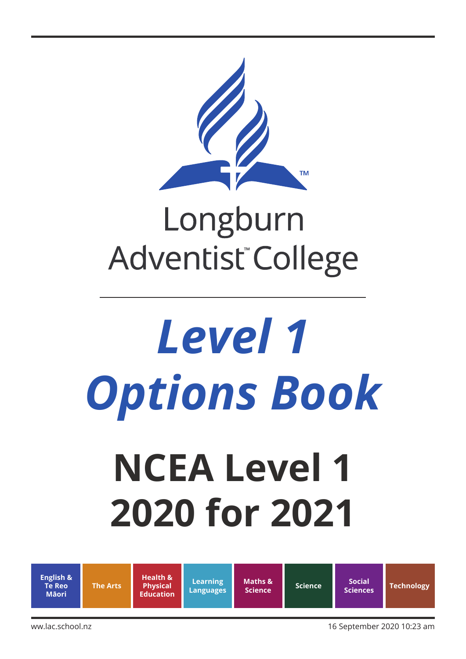

# Longburn Adventist<sup>®</sup>College

# *Level 1 Options Book* **NCEA Level 1 2020 for 2021**

**English & Te Reo Māori The Arts Health & Physical Education Learning Languages Maths & Science Science Social Sciences Technology**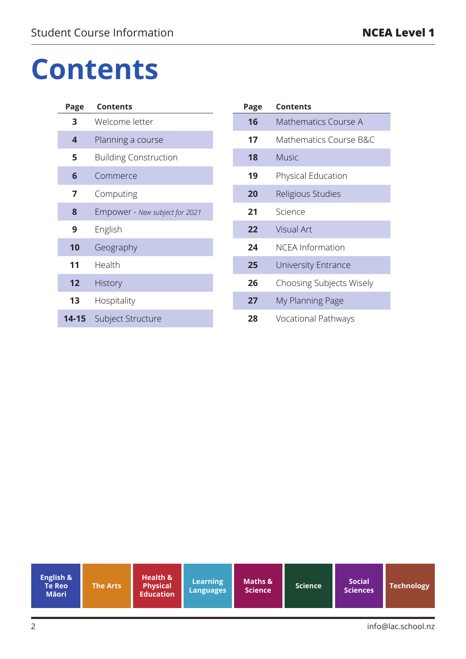### **Contents**

| Page           | <b>Contents</b>                | Page | <b>Contents</b>          |
|----------------|--------------------------------|------|--------------------------|
| 3              | Welcome letter                 | 16   | Mathematics Course A     |
| $\overline{4}$ | Planning a course              | 17   | Mathematics Course B&C   |
| 5              | <b>Building Construction</b>   | 18   | <b>Music</b>             |
| 6              | Commerce                       | 19   | Physical Education       |
| 7              | Computing                      | 20   | Religious Studies        |
| 8              | Empower - New subject for 2021 | 21   | Science                  |
| 9              | English                        | 22   | Visual Art               |
| 10             | Geography                      | 24   | <b>NCEA Information</b>  |
| 11             | Health                         | 25   | University Entrance      |
| 12             | <b>History</b>                 | 26   | Choosing Subjects Wisely |
| 13             | Hospitality                    | 27   | My Planning Page         |
| 14-15          | Subject Structure              | 28   | Vocational Pathways      |

| Page | Contents                 |
|------|--------------------------|
| 16   | Mathematics Course A     |
| 17   | Mathematics Course B&C   |
| 18   | <b>Music</b>             |
| 19   | Physical Education       |
| 20   | Religious Studies        |
| 21   | Science                  |
| 22   | Visual Art               |
| 24   | <b>NCEA Information</b>  |
| 25   | University Entrance      |
| 26   | Choosing Subjects Wisely |
| 27   | My Planning Page         |
| 28   | Vocational Pathways      |

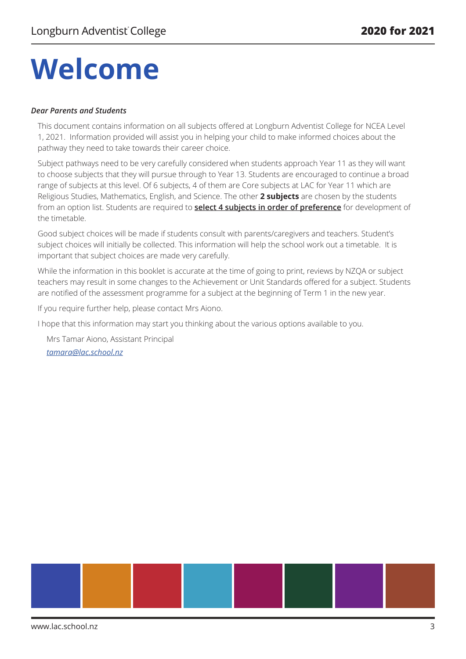### **Welcome**

#### *Dear Parents and Students*

This document contains information on all subjects offered at Longburn Adventist College for NCEA Level 1, 2021. Information provided will assist you in helping your child to make informed choices about the pathway they need to take towards their career choice.

Subject pathways need to be very carefully considered when students approach Year 11 as they will want to choose subjects that they will pursue through to Year 13. Students are encouraged to continue a broad range of subjects at this level. Of 6 subjects, 4 of them are Core subjects at LAC for Year 11 which are Religious Studies, Mathematics, English, and Science. The other **2 subjects** are chosen by the students from an option list. Students are required to **select 4 subjects in order of preference** for development of the timetable.

Good subject choices will be made if students consult with parents/caregivers and teachers. Student's subject choices will initially be collected. This information will help the school work out a timetable. It is important that subject choices are made very carefully.

While the information in this booklet is accurate at the time of going to print, reviews by NZQA or subject teachers may result in some changes to the Achievement or Unit Standards offered for a subject. Students are notified of the assessment programme for a subject at the beginning of Term 1 in the new year.

If you require further help, please contact Mrs Aiono.

I hope that this information may start you thinking about the various options available to you.

Mrs Tamar Aiono, Assistant Principal *tamara@lac.school.nz*

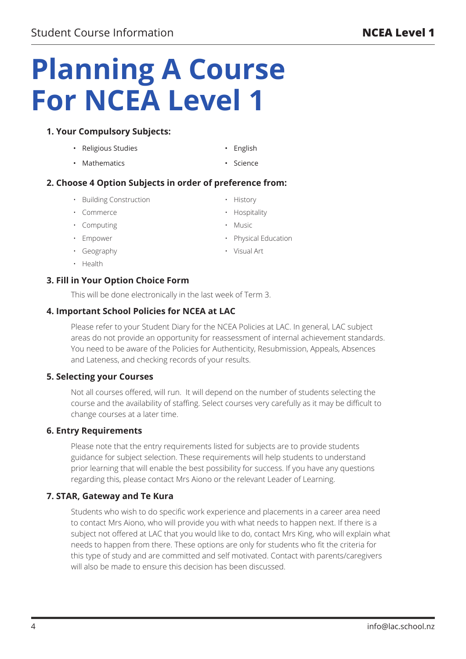### **Planning A Course For NCEA Level 1**

#### **1. Your Compulsory Subjects:**

- Religious Studies Finglish
- Mathematics Science

#### **2. Choose 4 Option Subjects in order of preference from:**

- Building Construction
- Commerce
- Computing
- Empower
- Geography
- Health

#### **3. Fill in Your Option Choice Form**

This will be done electronically in the last week of Term 3.

#### **4. Important School Policies for NCEA at LAC**

Please refer to your Student Diary for the NCEA Policies at LAC. In general, LAC subject areas do not provide an opportunity for reassessment of internal achievement standards. You need to be aware of the Policies for Authenticity, Resubmission, Appeals, Absences and Lateness, and checking records of your results.

#### **5. Selecting your Courses**

Not all courses offered, will run. It will depend on the number of students selecting the course and the availability of staffing. Select courses very carefully as it may be difficult to change courses at a later time.

#### **6. Entry Requirements**

Please note that the entry requirements listed for subjects are to provide students guidance for subject selection. These requirements will help students to understand prior learning that will enable the best possibility for success. If you have any questions regarding this, please contact Mrs Aiono or the relevant Leader of Learning.

#### **7. STAR, Gateway and Te Kura**

Students who wish to do specific work experience and placements in a career area need to contact Mrs Aiono, who will provide you with what needs to happen next. If there is a subject not offered at LAC that you would like to do, contact Mrs King, who will explain what needs to happen from there. These options are only for students who fit the criteria for this type of study and are committed and self motivated. Contact with parents/caregivers will also be made to ensure this decision has been discussed.

• Hospitality

• History

- Music
- Physical Education
- Visual Art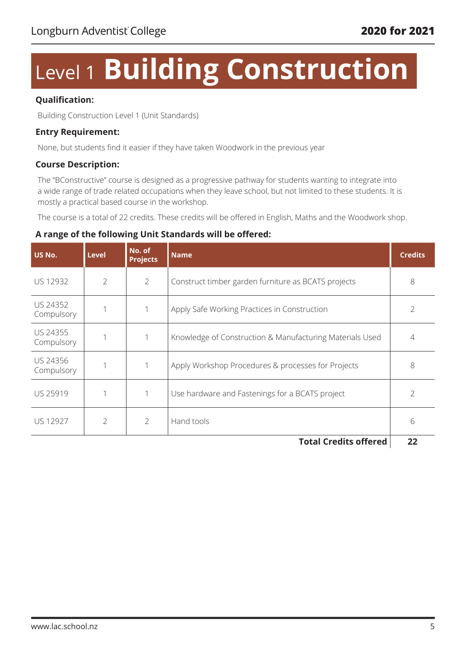### Level 1 **Building Construction**

#### **Qualification:**

Building Construction Level 1 (Unit Standards)

#### **Entry Requirement:**

None, but students find it easier if they have taken Woodwork in the previous year

#### **Course Description:**

The "BConstructive" course is designed as a progressive pathway for students wanting to integrate into a wide range of trade related occupations when they leave school, but not limited to these students. It is mostly a practical based course in the workshop.

The course is a total of 22 credits. These credits will be offered in English, Maths and the Woodwork shop.

#### **A range of the following Unit Standards will be offered:**

| US No.                        | <b>Level</b>   | No. of<br><b>Projects</b> | <b>Name</b>                                              | <b>Credits</b> |
|-------------------------------|----------------|---------------------------|----------------------------------------------------------|----------------|
| <b>US 12932</b>               | $\overline{2}$ | $\overline{2}$            | Construct timber garden furniture as BCATS projects      | 8              |
| <b>US 24352</b><br>Compulsory |                |                           | Apply Safe Working Practices in Construction             | $\overline{2}$ |
| <b>US 24355</b><br>Compulsory |                |                           | Knowledge of Construction & Manufacturing Materials Used | 4              |
| <b>US 24356</b><br>Compulsory |                |                           | Apply Workshop Procedures & processes for Projects       | 8              |
| <b>US 25919</b>               |                |                           | Use hardware and Fastenings for a BCATS project          | $\overline{2}$ |
| <b>US 12927</b>               | 2              | $\overline{2}$            | Hand tools                                               | 6              |
|                               |                |                           | <b>Total Credits offered</b>                             | 22             |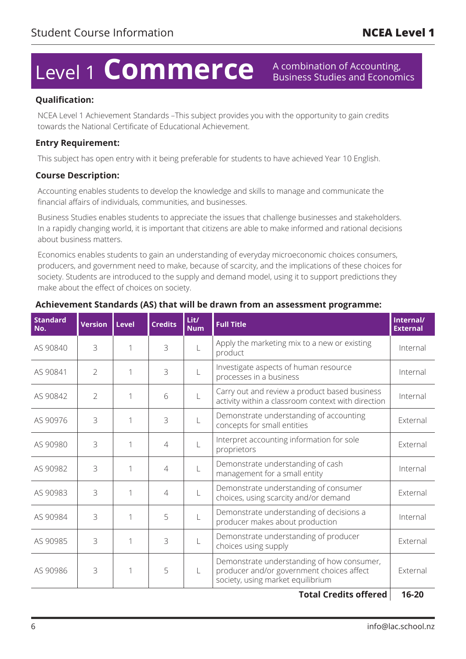### Level 1 **Commerce**

A combination of Accounting, Business Studies and Economics

#### **Qualification:**

NCEA Level 1 Achievement Standards –This subject provides you with the opportunity to gain credits towards the National Certificate of Educational Achievement.

#### **Entry Requirement:**

This subject has open entry with it being preferable for students to have achieved Year 10 English.

#### **Course Description:**

Accounting enables students to develop the knowledge and skills to manage and communicate the financial affairs of individuals, communities, and businesses.

Business Studies enables students to appreciate the issues that challenge businesses and stakeholders. In a rapidly changing world, it is important that citizens are able to make informed and rational decisions about business matters.

Economics enables students to gain an understanding of everyday microeconomic choices consumers, producers, and government need to make, because of scarcity, and the implications of these choices for society. Students are introduced to the supply and demand model, using it to support predictions they make about the effect of choices on society.

| <b>Standard</b><br>No. | <b>Version</b> | Level | <b>Credits</b> | Lit/<br><b>Num</b> | <b>Full Title</b>                                                                                                            | Internal/<br><b>External</b> |
|------------------------|----------------|-------|----------------|--------------------|------------------------------------------------------------------------------------------------------------------------------|------------------------------|
| AS 90840               | 3              | 1     | 3              |                    | Apply the marketing mix to a new or existing<br>product                                                                      | Internal                     |
| AS 90841               | $\overline{2}$ | 1     | 3              |                    | Investigate aspects of human resource<br>processes in a business                                                             | Internal                     |
| AS 90842               | $\overline{2}$ | 1     | 6              |                    | Carry out and review a product based business<br>activity within a classroom context with direction                          | Internal                     |
| AS 90976               | 3              | 1     | 3              |                    | Demonstrate understanding of accounting<br>concepts for small entities                                                       | External                     |
| AS 90980               | 3              | 1     | $\overline{4}$ |                    | Interpret accounting information for sole<br>proprietors                                                                     | External                     |
| AS 90982               | 3              | 1     | $\overline{4}$ |                    | Demonstrate understanding of cash<br>management for a small entity                                                           | Internal                     |
| AS 90983               | 3              | 1     | $\overline{4}$ |                    | Demonstrate understanding of consumer<br>choices, using scarcity and/or demand                                               | External                     |
| AS 90984               | 3              | 1     | 5              | L                  | Demonstrate understanding of decisions a<br>producer makes about production                                                  | Internal                     |
| AS 90985               | 3              | 1     | 3              | L                  | Demonstrate understanding of producer<br>choices using supply                                                                | External                     |
| AS 90986               | 3              | 1     | 5              | L                  | Demonstrate understanding of how consumer,<br>producer and/or government choices affect<br>society, using market equilibrium | External                     |
|                        |                |       |                |                    | <b>Total Credits offered</b>                                                                                                 | $16 - 20$                    |

#### **Achievement Standards (AS) that will be drawn from an assessment programme:**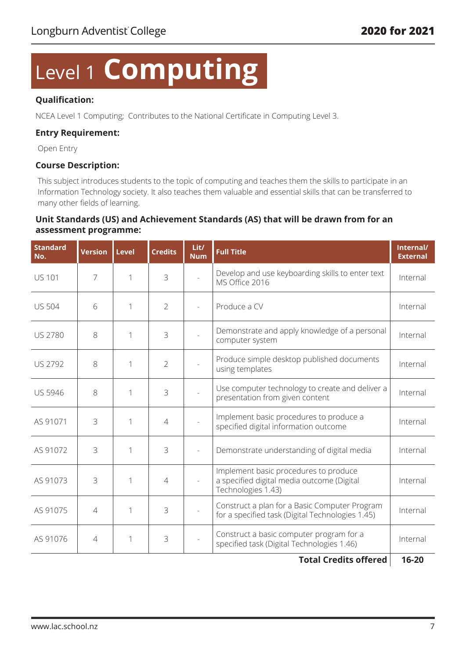### Level 1 **Computing**

#### **Qualification:**

NCEA Level 1 Computing; Contributes to the National Certificate in Computing Level 3.

#### **Entry Requirement:**

Open Entry

#### **Course Description:**

This subject introduces students to the topic of computing and teaches them the skills to participate in an Information Technology society. It also teaches them valuable and essential skills that can be transferred to many other fields of learning.

#### **Unit Standards (US) and Achievement Standards (AS) that will be drawn from for an assessment programme:**

| <b>Standard</b><br>No. | <b>Version</b> | <b>Level</b> | <b>Credits</b> | Lit/<br><b>Num</b> | <b>Full Title</b>                                                                                         | Internal/<br><b>External</b> |
|------------------------|----------------|--------------|----------------|--------------------|-----------------------------------------------------------------------------------------------------------|------------------------------|
| <b>US 101</b>          | 7              | 1            | $\overline{3}$ |                    | Develop and use keyboarding skills to enter text<br>MS Office 2016                                        | Internal                     |
| <b>US 504</b>          | 6              | 1            | $\overline{2}$ |                    | Produce a CV                                                                                              | Internal                     |
| <b>US 2780</b>         | 8              | 1            | $\overline{3}$ |                    | Demonstrate and apply knowledge of a personal<br>computer system                                          | Internal                     |
| <b>US 2792</b>         | 8              | 1            | $\overline{2}$ |                    | Produce simple desktop published documents<br>using templates                                             | Internal                     |
| <b>US 5946</b>         | 8              | 1            | 3              |                    | Use computer technology to create and deliver a<br>presentation from given content                        | Internal                     |
| AS 91071               | 3              | 1            | $\overline{4}$ |                    | Implement basic procedures to produce a<br>specified digital information outcome                          | Internal                     |
| AS 91072               | 3              | 1            | $\overline{3}$ |                    | Demonstrate understanding of digital media                                                                | Internal                     |
| AS 91073               | 3              | 1            | $\overline{4}$ |                    | Implement basic procedures to produce<br>a specified digital media outcome (Digital<br>Technologies 1.43) | Internal                     |
| AS 91075               | $\overline{4}$ | 1            | $\overline{3}$ |                    | Construct a plan for a Basic Computer Program<br>for a specified task (Digital Technologies 1.45)         | Internal                     |
| AS 91076               | $\overline{4}$ | 1            | 3              |                    | Construct a basic computer program for a<br>specified task (Digital Technologies 1.46)                    | Internal                     |
|                        |                |              |                |                    | Total Crodits offered                                                                                     | 16.20                        |

**Total Credits offered 16-20**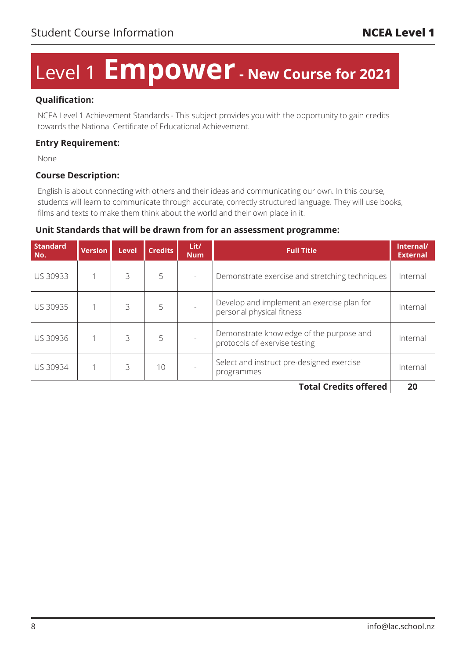### Level 1 **Empower** - New Course for 2021

#### **Qualification:**

NCEA Level 1 Achievement Standards - This subject provides you with the opportunity to gain credits towards the National Certificate of Educational Achievement.

#### **Entry Requirement:**

None

#### **Course Description:**

English is about connecting with others and their ideas and communicating our own. In this course, students will learn to communicate through accurate, correctly structured language. They will use books, films and texts to make them think about the world and their own place in it.

#### **Unit Standards that will be drawn from for an assessment programme:**

| <b>Standard</b><br>No. | <b>Version</b> | <b>Level</b> | <b>Credits</b> | Lit/<br><b>Num</b> | <b>Full Title</b>                                                         | Internal/<br><b>External</b> |
|------------------------|----------------|--------------|----------------|--------------------|---------------------------------------------------------------------------|------------------------------|
| <b>US 30933</b>        |                | 3            | 5              |                    | Demonstrate exercise and stretching techniques                            | Internal                     |
| <b>US 30935</b>        |                | 3            | 5              |                    | Develop and implement an exercise plan for<br>personal physical fitness   | Internal                     |
| <b>US 30936</b>        |                | 3            | 5              |                    | Demonstrate knowledge of the purpose and<br>protocols of exervise testing | Internal                     |
| US 30934               |                | 3            | 10             |                    | Select and instruct pre-designed exercise<br>programmes                   | Internal                     |
|                        |                |              |                |                    | <b>Total Credits offered</b>                                              | 20                           |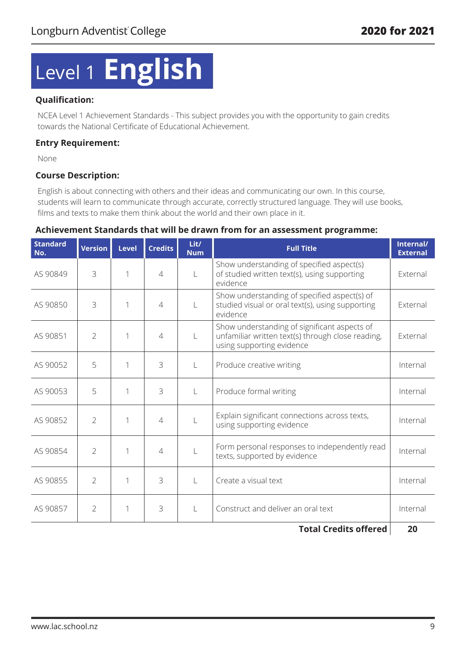### Level 1 **English**

#### **Qualification:**

NCEA Level 1 Achievement Standards - This subject provides you with the opportunity to gain credits towards the National Certificate of Educational Achievement.

#### **Entry Requirement:**

None

#### **Course Description:**

English is about connecting with others and their ideas and communicating our own. In this course, students will learn to communicate through accurate, correctly structured language. They will use books, films and texts to make them think about the world and their own place in it.

#### **Achievement Standards that will be drawn from for an assessment programme:**

| <b>Standard</b><br>No. | Version        | <b>Level</b> | <b>Credits</b> | Lit/<br><b>Num</b> | <b>Full Title</b>                                                                                                              | Internal/<br><b>External</b> |
|------------------------|----------------|--------------|----------------|--------------------|--------------------------------------------------------------------------------------------------------------------------------|------------------------------|
| AS 90849               | $\overline{3}$ |              | $\overline{4}$ | $\perp$            | Show understanding of specified aspect(s)<br>of studied written text(s), using supporting<br>evidence                          | External                     |
| AS 90850               | $\overline{3}$ |              | $\overline{4}$ | $\mathbf{L}$       | Show understanding of specified aspect(s) of<br>studied visual or oral text(s), using supporting<br>evidence                   | External                     |
| AS 90851               | $\overline{2}$ |              | $\overline{4}$ | $\mathbf{L}$       | Show understanding of significant aspects of<br>unfamiliar written text(s) through close reading,<br>using supporting evidence | External                     |
| AS 90052               | 5              |              | 3              | L                  | Produce creative writing                                                                                                       | Internal                     |
| AS 90053               | 5              |              | 3              | $\mathbf{L}$       | Produce formal writing                                                                                                         | Internal                     |
| AS 90852               | $\overline{2}$ |              | $\overline{4}$ |                    | Explain significant connections across texts,<br>using supporting evidence                                                     | Internal                     |
| AS 90854               | $\overline{2}$ |              | $\overline{4}$ |                    | Form personal responses to independently read<br>texts, supported by evidence                                                  | Internal                     |
| AS 90855               | $\overline{2}$ |              | 3              | $\mathbf{L}$       | Create a visual text                                                                                                           | Internal                     |
| AS 90857               | $\overline{2}$ |              | 3              | $\perp$            | Construct and deliver an oral text                                                                                             | Internal                     |
|                        |                |              |                |                    | <b>Total Credits offered</b>                                                                                                   | 20                           |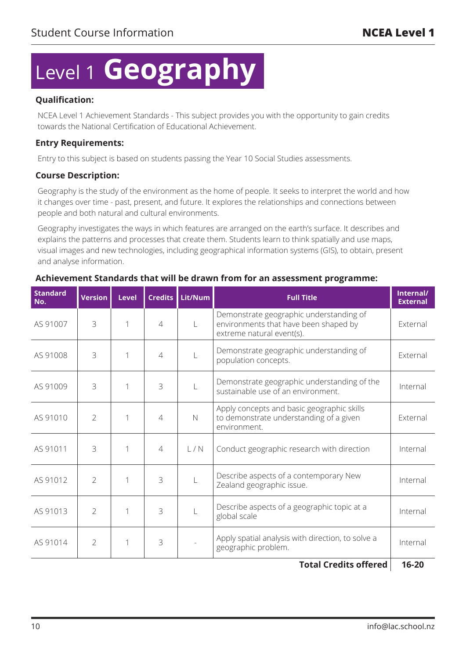### Level 1 **Geography**

#### **Qualification:**

NCEA Level 1 Achievement Standards - This subject provides you with the opportunity to gain credits towards the National Certification of Educational Achievement.

#### **Entry Requirements:**

Entry to this subject is based on students passing the Year 10 Social Studies assessments.

#### **Course Description:**

Geography is the study of the environment as the home of people. It seeks to interpret the world and how it changes over time - past, present, and future. It explores the relationships and connections between people and both natural and cultural environments.

Geography investigates the ways in which features are arranged on the earth's surface. It describes and explains the patterns and processes that create them. Students learn to think spatially and use maps, visual images and new technologies, including geographical information systems (GIS), to obtain, present and analyse information.

| <b>Standard</b><br>No. | <b>Version</b> | <b>Level</b> |                | Credits   Lit/Num | <b>Full Title</b>                                                                                             | Internal/<br><b>External</b> |
|------------------------|----------------|--------------|----------------|-------------------|---------------------------------------------------------------------------------------------------------------|------------------------------|
| AS 91007               | $\overline{3}$ |              | 4              | $\mathsf L$       | Demonstrate geographic understanding of<br>environments that have been shaped by<br>extreme natural event(s). | External                     |
| AS 91008               | 3              |              | $\overline{4}$ | L                 | Demonstrate geographic understanding of<br>population concepts.                                               | External                     |
| AS 91009               | 3              |              | 3              | L                 | Demonstrate geographic understanding of the<br>sustainable use of an environment.                             | Internal                     |
| AS 91010               | $\overline{2}$ |              | 4              | $\mathbb N$       | Apply concepts and basic geographic skills<br>to demonstrate understanding of a given<br>environment.         | External                     |
| AS 91011               | $\overline{3}$ | 1            | 4              | L/N               | Conduct geographic research with direction                                                                    | Internal                     |
| AS 91012               | $\overline{2}$ |              | 3              | $\lfloor$         | Describe aspects of a contemporary New<br>Zealand geographic issue.                                           | Internal                     |
| AS 91013               | $\overline{2}$ | 1            | 3              | $\lfloor$         | Describe aspects of a geographic topic at a<br>global scale                                                   | Internal                     |
| AS 91014               | $\overline{2}$ |              | 3              |                   | Apply spatial analysis with direction, to solve a<br>geographic problem.                                      | Internal                     |
|                        |                |              |                |                   | ティア・レーター こうじょう こくりょうかいし                                                                                       |                              |

#### **Achievement Standards that will be drawn from for an assessment programme:**

**Total Credits offered 16-20**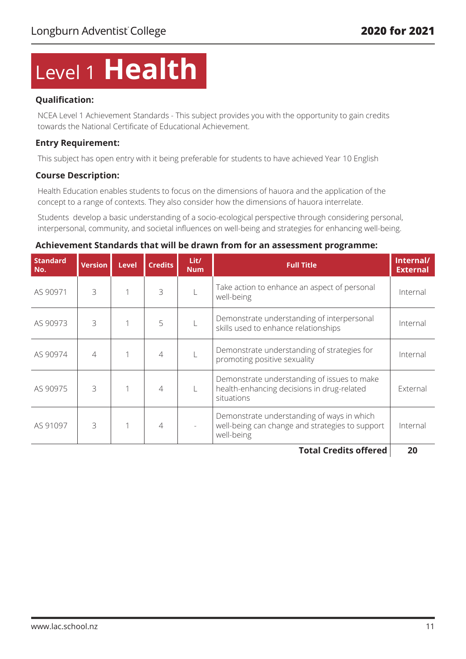

#### **Qualification:**

NCEA Level 1 Achievement Standards - This subject provides you with the opportunity to gain credits towards the National Certificate of Educational Achievement.

#### **Entry Requirement:**

This subject has open entry with it being preferable for students to have achieved Year 10 English

#### **Course Description:**

Health Education enables students to focus on the dimensions of hauora and the application of the concept to a range of contexts. They also consider how the dimensions of hauora interrelate.

Students develop a basic understanding of a socio-ecological perspective through considering personal, interpersonal, community, and societal influences on well-being and strategies for enhancing well-being.

#### **Achievement Standards that will be drawn from for an assessment programme:**

| <b>Standard</b><br>No. | <b>Version</b>           | <b>Level</b> | <b>Credits</b> | Lit/<br><b>Num</b> | <b>Full Title</b>                                                                                           | Internal/<br><b>External</b> |
|------------------------|--------------------------|--------------|----------------|--------------------|-------------------------------------------------------------------------------------------------------------|------------------------------|
| AS 90971               | 3                        |              | 3              |                    | Take action to enhance an aspect of personal<br>well-being                                                  | Internal                     |
| AS 90973               | 3                        |              | 5              |                    | Demonstrate understanding of interpersonal<br>skills used to enhance relationships                          | Internal                     |
| AS 90974               | $\overline{\mathcal{A}}$ |              | $\overline{4}$ |                    | Demonstrate understanding of strategies for<br>promoting positive sexuality                                 | Internal                     |
| AS 90975               | 3                        |              | $\overline{4}$ |                    | Demonstrate understanding of issues to make<br>health-enhancing decisions in drug-related<br>situations     | External                     |
| AS 91097               | 3                        |              | $\overline{4}$ |                    | Demonstrate understanding of ways in which<br>well-being can change and strategies to support<br>well-being | Internal                     |
|                        |                          |              |                |                    | $\blacksquare$<br><br>- - - -                                                                               |                              |

**Total Credits offered 20**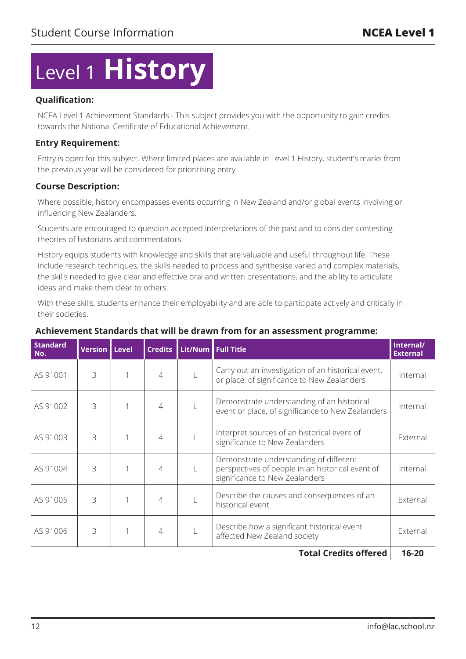### Level 1 **History**

#### **Qualification:**

NCEA Level 1 Achievement Standards - This subject provides you with the opportunity to gain credits towards the National Certificate of Educational Achievement.

#### **Entry Requirement:**

Entry is open for this subject. Where limited places are available in Level 1 History, student's marks from the previous year will be considered for prioritising entry

#### **Course Description:**

Where possible, history encompasses events occurring in New Zealand and/or global events involving or influencing New Zealanders.

Students are encouraged to question accepted interpretations of the past and to consider contesting theories of historians and commentators.

History equips students with knowledge and skills that are valuable and useful throughout life. These include research techniques, the skills needed to process and synthesise varied and complex materials, the skills needed to give clear and effective oral and written presentations, and the ability to articulate ideas and make them clear to others.

With these skills, students enhance their employability and are able to participate actively and critically in their societies.

| <b>Standard</b><br>No. | Version   Level | <b>Credits</b> | Lit/Num Full Title |                                                                                                                              | Internal/<br><b>External</b> |
|------------------------|-----------------|----------------|--------------------|------------------------------------------------------------------------------------------------------------------------------|------------------------------|
| AS 91001               | 3               | $\overline{4}$ |                    | Carry out an investigation of an historical event,<br>or place, of significance to New Zealanders                            | Internal                     |
| AS 91002               | 3               | $\overline{4}$ |                    | Demonstrate understanding of an historical<br>event or place, of significance to New Zealanders                              | Internal                     |
| AS 91003               | 3               | 4              |                    | Interpret sources of an historical event of<br>significance to New Zealanders                                                | External                     |
| AS 91004               | 3               | $\overline{4}$ |                    | Demonstrate understanding of different<br>perspectives of people in an historical event of<br>significance to New Zealanders | Internal                     |
| AS 91005               | 3               | $\overline{4}$ |                    | Describe the causes and consequences of an<br>historical event                                                               | External                     |
| AS 91006               | 3               | 4              |                    | Describe how a significant historical event<br>affected New Zealand society                                                  | External                     |
|                        |                 |                |                    | <b>Total Credits offered</b>                                                                                                 | $16 - 20$                    |

#### **Achievement Standards that will be drawn from for an assessment programme:**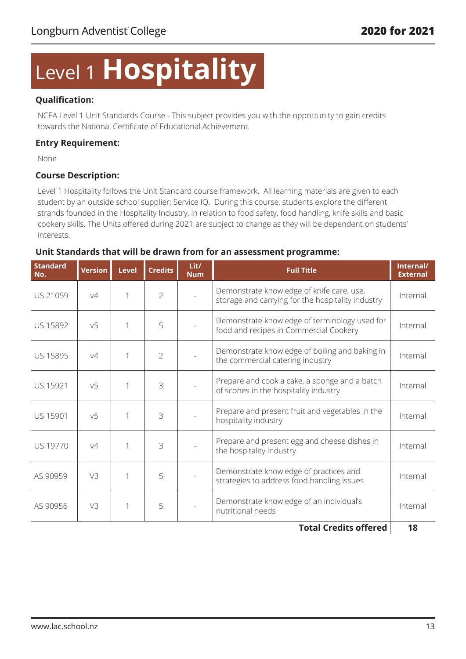### Level 1 **Hospitality**

#### **Qualification:**

NCEA Level 1 Unit Standards Course - This subject provides you with the opportunity to gain credits towards the National Certificate of Educational Achievement.

#### **Entry Requirement:**

None

#### **Course Description:**

Level 1 Hospitality follows the Unit Standard course framework. All learning materials are given to each student by an outside school supplier; Service IQ. During this course, students explore the different strands founded in the Hospitality Industry, in relation to food safety, food handling, knife skills and basic cookery skills. The Units offered during 2021 are subject to change as they will be dependent on students' interests.

#### **Unit Standards that will be drawn from for an assessment programme:**

| <b>Standard</b><br>No. | <b>Version</b> | <b>Level</b> | <b>Credits</b> | Lit/<br><b>Num</b> | <b>Full Title</b>                                                                              | Internal/<br><b>External</b> |
|------------------------|----------------|--------------|----------------|--------------------|------------------------------------------------------------------------------------------------|------------------------------|
| <b>US 21059</b>        | V <sub>4</sub> | 1            | $\overline{2}$ |                    | Demonstrate knowledge of knife care, use,<br>storage and carrying for the hospitality industry | Internal                     |
| <b>US 15892</b>        | V <sub>5</sub> | 1            | 5              |                    | Demonstrate knowledge of terminology used for<br>food and recipes in Commercial Cookery        | Internal                     |
| <b>US 15895</b>        | V <sub>4</sub> | 1            | $\overline{2}$ |                    | Demonstrate knowledge of boiling and baking in<br>the commercial catering industry             | Internal                     |
| <b>US 15921</b>        | V <sub>5</sub> |              | 3              |                    | Prepare and cook a cake, a sponge and a batch<br>of scones in the hospitality industry         | Internal                     |
| <b>US 15901</b>        | V <sub>5</sub> | 1            | 3              |                    | Prepare and present fruit and vegetables in the<br>hospitality industry                        | Internal                     |
| <b>US 19770</b>        | V <sub>4</sub> |              | 3              |                    | Prepare and present egg and cheese dishes in<br>the hospitality industry                       | Internal                     |
| AS 90959               | V3             |              | 5              |                    | Demonstrate knowledge of practices and<br>strategies to address food handling issues           | Internal                     |
| AS 90956               | V3             |              | 5              |                    | Demonstrate knowledge of an individual's<br>nutritional needs                                  | Internal                     |
|                        |                |              |                |                    | <b>Total Credits offered</b>                                                                   | 18                           |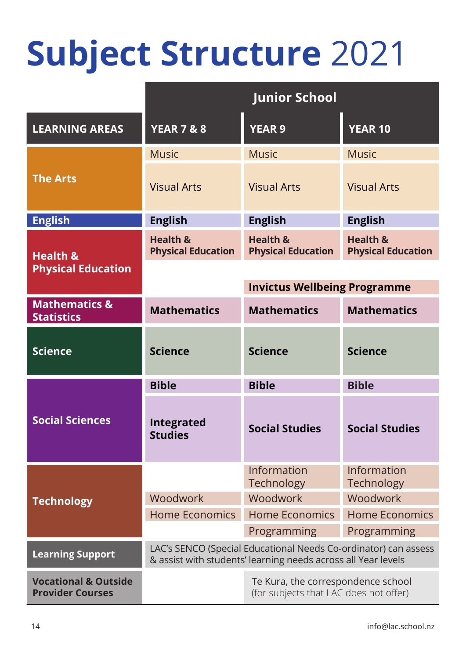# **Subject Structure 2021**

|                                                            |                                                  | <b>Junior School</b>                                                                                                             |                                                  |
|------------------------------------------------------------|--------------------------------------------------|----------------------------------------------------------------------------------------------------------------------------------|--------------------------------------------------|
| <b>LEARNING AREAS</b>                                      | <b>YEAR 7 &amp; 8</b>                            | <b>YEAR 9</b>                                                                                                                    | <b>YEAR 10</b>                                   |
|                                                            | <b>Music</b>                                     | <b>Music</b>                                                                                                                     | <b>Music</b>                                     |
| <b>The Arts</b>                                            | <b>Visual Arts</b>                               | <b>Visual Arts</b>                                                                                                               | <b>Visual Arts</b>                               |
| <b>English</b>                                             | <b>English</b>                                   | <b>English</b>                                                                                                                   | <b>English</b>                                   |
| <b>Health &amp;</b>                                        | <b>Health &amp;</b><br><b>Physical Education</b> | <b>Health &amp;</b><br><b>Physical Education</b>                                                                                 | <b>Health &amp;</b><br><b>Physical Education</b> |
| <b>Physical Education</b>                                  |                                                  |                                                                                                                                  |                                                  |
|                                                            |                                                  | <b>Invictus Wellbeing Programme</b>                                                                                              |                                                  |
| <b>Mathematics &amp;</b><br><b>Statistics</b>              | <b>Mathematics</b>                               | <b>Mathematics</b>                                                                                                               | <b>Mathematics</b>                               |
| <b>Science</b>                                             | <b>Science</b>                                   | <b>Science</b>                                                                                                                   | <b>Science</b>                                   |
|                                                            | <b>Bible</b>                                     | <b>Bible</b>                                                                                                                     | <b>Bible</b>                                     |
| <b>Social Sciences</b>                                     | <b>Integrated</b><br><b>Studies</b>              | <b>Social Studies</b>                                                                                                            | <b>Social Studies</b>                            |
|                                                            |                                                  | Information<br>Technology                                                                                                        | Information<br><b>Technology</b>                 |
| <b>Technology</b>                                          | Woodwork                                         | Woodwork                                                                                                                         | Woodwork                                         |
|                                                            | Home Economics                                   | Home Economics                                                                                                                   | <b>Home Economics</b>                            |
|                                                            |                                                  | Programming                                                                                                                      | Programming                                      |
| <b>Learning Support</b>                                    |                                                  | LAC's SENCO (Special Educational Needs Co-ordinator) can assess<br>& assist with students' learning needs across all Year levels |                                                  |
| <b>Vocational &amp; Outside</b><br><b>Provider Courses</b> |                                                  | Te Kura, the correspondence school<br>(for subjects that LAC does not offer)                                                     |                                                  |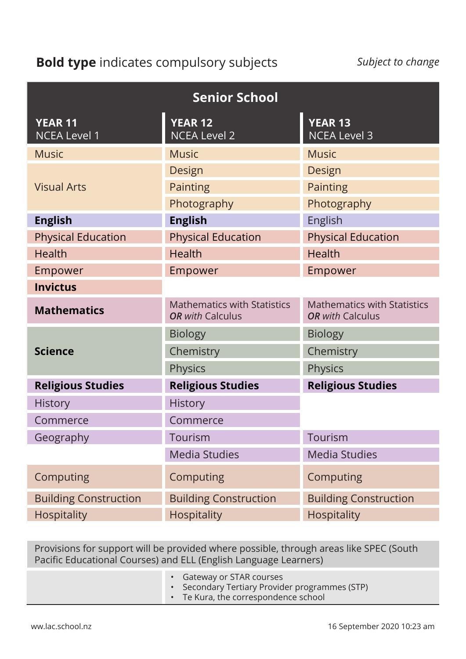#### **Bold type** indicates compulsory subjects *Subject to change*

|                              | <b>Senior School</b>                                          |                                                               |
|------------------------------|---------------------------------------------------------------|---------------------------------------------------------------|
| <b>NCEA Level 1</b>          | <b>YEAR 12</b><br><b>NCEA Level 2</b>                         | <b>YEAR 13</b><br><b>NCEA Level 3</b>                         |
|                              | <b>Music</b>                                                  | <b>Music</b>                                                  |
|                              | Design                                                        | Design                                                        |
|                              | <b>Painting</b>                                               | <b>Painting</b>                                               |
|                              | Photography                                                   | Photography                                                   |
|                              | <b>English</b>                                                | English                                                       |
| <b>Physical Education</b>    | <b>Physical Education</b>                                     | <b>Physical Education</b>                                     |
|                              | <b>Health</b>                                                 | Health                                                        |
|                              | Empower                                                       | Empower                                                       |
|                              |                                                               |                                                               |
| <b>Mathematics</b>           | <b>Mathematics with Statistics</b><br><b>OR</b> with Calculus | <b>Mathematics with Statistics</b><br><b>OR</b> with Calculus |
|                              | <b>Biology</b>                                                | <b>Biology</b>                                                |
|                              | Chemistry                                                     | Chemistry                                                     |
|                              | Physics                                                       | Physics                                                       |
| <b>Religious Studies</b>     | <b>Religious Studies</b>                                      | <b>Religious Studies</b>                                      |
|                              | <b>History</b>                                                |                                                               |
|                              | Commerce                                                      |                                                               |
|                              | Tourism                                                       | Tourism                                                       |
|                              | <b>Media Studies</b>                                          | Media Studies                                                 |
|                              | Computing                                                     | Computing                                                     |
| <b>Building Construction</b> | <b>Building Construction</b>                                  | <b>Building Construction</b>                                  |
|                              | Hospitality                                                   | Hospitality                                                   |
|                              |                                                               |                                                               |

Provisions for support will be provided where possible, through areas like SPEC (South Pacific Educational Courses) and ELL (English Language Learners)

• Gateway or STAR courses • Secondary Tertiary Provider programmes (STP) • Te Kura, the correspondence school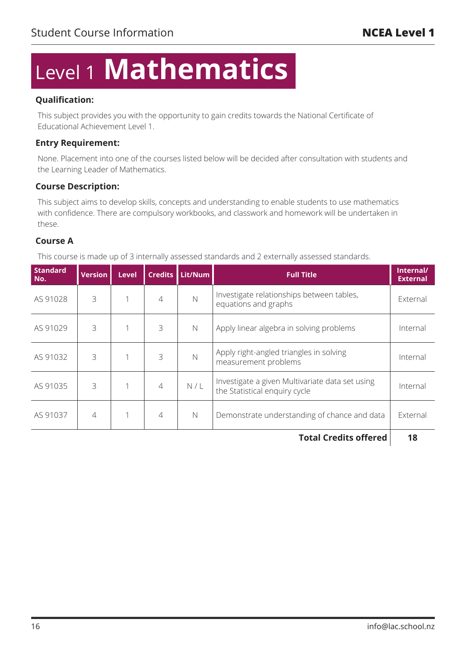### Level 1 **Mathematics**

#### **Qualification:**

This subject provides you with the opportunity to gain credits towards the National Certificate of Educational Achievement Level 1.

#### **Entry Requirement:**

None. Placement into one of the courses listed below will be decided after consultation with students and the Learning Leader of Mathematics.

#### **Course Description:**

This subject aims to develop skills, concepts and understanding to enable students to use mathematics with confidence. There are compulsory workbooks, and classwork and homework will be undertaken in these.

#### **Course A**

This course is made up of 3 internally assessed standards and 2 externally assessed standards.

| <b>Standard</b><br>No. | <b>Version</b> | <b>Level</b> |                | Credits Lit/Num | <b>Full Title</b>                                                                | Internal/<br><b>External</b> |
|------------------------|----------------|--------------|----------------|-----------------|----------------------------------------------------------------------------------|------------------------------|
| AS 91028               | 3              |              | $\overline{4}$ | $\mathsf{N}$    | Investigate relationships between tables,<br>equations and graphs                | External                     |
| AS 91029               | 3              |              | 3              | $\mathbb N$     | Apply linear algebra in solving problems                                         | Internal                     |
| AS 91032               | 3              |              | 3              | $\mathbb N$     | Apply right-angled triangles in solving<br>measurement problems                  | Internal                     |
| AS 91035               | 3              |              | $\overline{4}$ | N/L             | Investigate a given Multivariate data set using<br>the Statistical enguiry cycle | Internal                     |
| AS 91037               | $\overline{4}$ |              | 4              | N               | Demonstrate understanding of chance and data                                     | External                     |
|                        |                |              |                |                 | <b>Total Credits offered</b>                                                     | 18                           |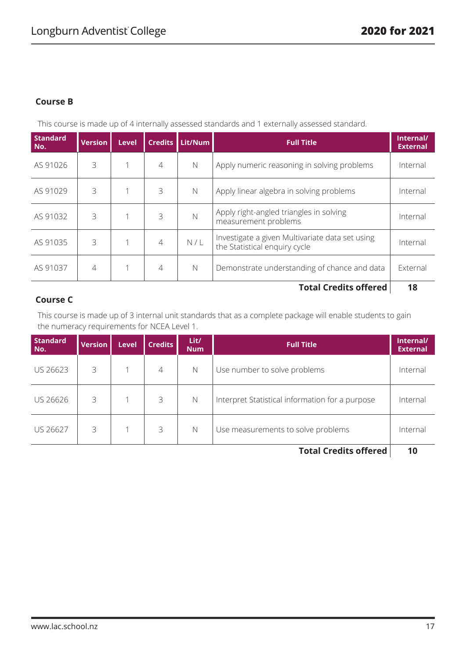#### **Course B**

This course is made up of 4 internally assessed standards and 1 externally assessed standard.

| <b>Standard</b><br>No. | <b>Version</b> | <b>Level</b> | <b>Credits</b> | Lit/Num      | <b>Full Title</b>                                                                | Internal/<br><b>External</b> |
|------------------------|----------------|--------------|----------------|--------------|----------------------------------------------------------------------------------|------------------------------|
| AS 91026               | 3              |              | $\overline{4}$ | $\mathbb N$  | Apply numeric reasoning in solving problems                                      | Internal                     |
| AS 91029               | 3              |              | 3              | N            | Apply linear algebra in solving problems                                         | Internal                     |
| AS 91032               | 3              |              | 3              | $\mathsf{N}$ | Apply right-angled triangles in solving<br>measurement problems                  | Internal                     |
| AS 91035               | 3              |              | $\overline{4}$ | N/L          | Investigate a given Multivariate data set using<br>the Statistical enquiry cycle | Internal                     |
| AS 91037               | $\overline{4}$ |              | $\overline{4}$ | $\mathbb N$  | Demonstrate understanding of chance and data                                     | External                     |
|                        |                |              |                |              | <b>Total Credits offered</b>                                                     | 18                           |

#### **Course C**

This course is made up of 3 internal unit standards that as a complete package will enable students to gain the numeracy requirements for NCEA Level 1.

| <b>Standard</b><br>No. | <b>Version</b> | <b>Level</b> | <b>Credits</b> | Lit/<br><b>Num</b> | <b>Full Title</b>                               | Internal/<br><b>External</b> |
|------------------------|----------------|--------------|----------------|--------------------|-------------------------------------------------|------------------------------|
| US 26623               | 3              |              | $\overline{4}$ | $\mathbb N$        | Use number to solve problems                    | Internal                     |
| <b>US 26626</b>        | 3              |              | 3              | $\mathbb N$        | Interpret Statistical information for a purpose | Internal                     |
| <b>US 26627</b>        | 3              |              | 3              | $\mathbb N$        | Use measurements to solve problems              | Internal                     |
|                        |                |              |                |                    | <b>Total Credits offered</b>                    | 10                           |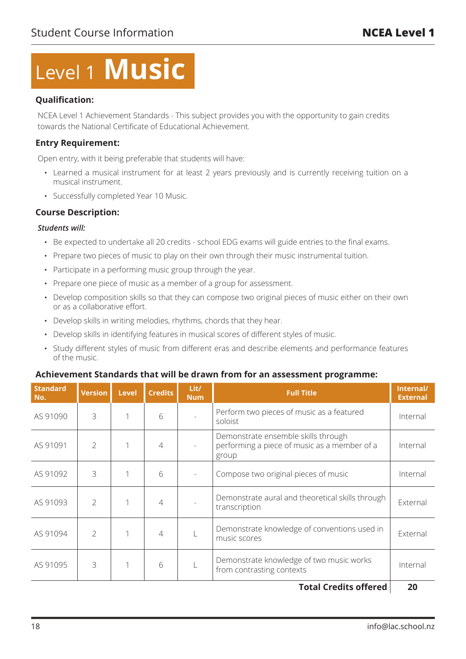### Level 1 **Music**

#### **Qualification:**

NCEA Level 1 Achievement Standards - This subject provides you with the opportunity to gain credits towards the National Certificate of Educational Achievement.

#### **Entry Requirement:**

Open entry, with it being preferable that students will have:

- Learned a musical instrument for at least 2 years previously and is currently receiving tuition on a musical instrument.
- Successfully completed Year 10 Music.

#### **Course Description:**

#### *Students will:*

- Be expected to undertake all 20 credits school EDG exams will guide entries to the final exams.
- Prepare two pieces of music to play on their own through their music instrumental tuition.
- Participate in a performing music group through the year.
- Prepare one piece of music as a member of a group for assessment.
- Develop composition skills so that they can compose two original pieces of music either on their own or as a collaborative effort.
- Develop skills in writing melodies, rhythms, chords that they hear.
- Develop skills in identifying features in musical scores of different styles of music.
- Study different styles of music from different eras and describe elements and performance features of the music.

#### **Achievement Standards that will be drawn from for an assessment programme:**

| <b>Standard</b><br>No. | <b>Version</b> | <b>Level</b> | <b>Credits</b> | Lit/<br><b>Num</b> | <b>Full Title</b>                                                                            | Internal/<br><b>External</b> |
|------------------------|----------------|--------------|----------------|--------------------|----------------------------------------------------------------------------------------------|------------------------------|
| AS 91090               | 3              |              | 6              |                    | Perform two pieces of music as a featured<br>soloist                                         | Internal                     |
| AS 91091               | $\mathcal{P}$  |              | 4              |                    | Demonstrate ensemble skills through<br>performing a piece of music as a member of a<br>group | Internal                     |
| AS 91092               | 3              |              | 6              |                    | Compose two original pieces of music                                                         | Internal                     |
| AS 91093               | $\overline{2}$ |              | $\overline{4}$ |                    | Demonstrate aural and theoretical skills through<br>transcription                            | External                     |
| AS 91094               | $\overline{2}$ |              | $\overline{4}$ |                    | Demonstrate knowledge of conventions used in<br>music scores                                 | External                     |
| AS 91095               | 3              |              | 6              |                    | Demonstrate knowledge of two music works<br>from contrasting contexts                        | Internal                     |
|                        |                |              |                |                    | <b>Total Credits offered</b>                                                                 | 20                           |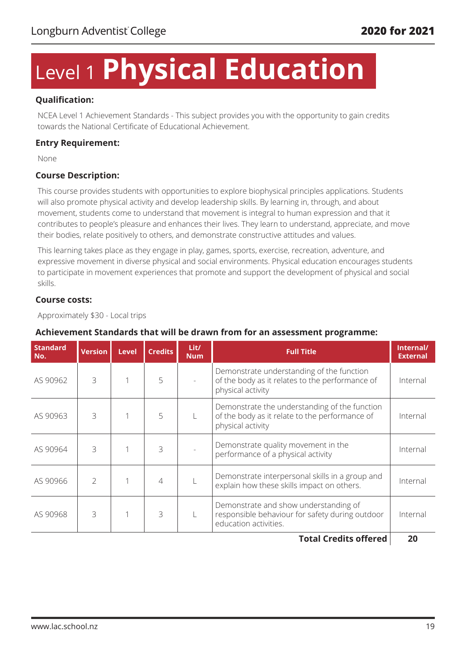### Level 1 **Physical Education**

#### **Qualification:**

NCEA Level 1 Achievement Standards - This subject provides you with the opportunity to gain credits towards the National Certificate of Educational Achievement.

#### **Entry Requirement:**

None

#### **Course Description:**

This course provides students with opportunities to explore biophysical principles applications. Students will also promote physical activity and develop leadership skills. By learning in, through, and about movement, students come to understand that movement is integral to human expression and that it contributes to people's pleasure and enhances their lives. They learn to understand, appreciate, and move their bodies, relate positively to others, and demonstrate constructive attitudes and values.

This learning takes place as they engage in play, games, sports, exercise, recreation, adventure, and expressive movement in diverse physical and social environments. Physical education encourages students to participate in movement experiences that promote and support the development of physical and social skills.

#### **Course costs:**

Approximately \$30 - Local trips

| <b>Standard</b><br>No. | <b>Version</b> | <b>Level</b> | <b>Credits</b> | Lit/<br><b>Num</b> | <b>Full Title</b>                                                                                                    | Internal/<br><b>External</b> |
|------------------------|----------------|--------------|----------------|--------------------|----------------------------------------------------------------------------------------------------------------------|------------------------------|
| AS 90962               | 3              |              | 5              |                    | Demonstrate understanding of the function<br>of the body as it relates to the performance of<br>physical activity    | Internal                     |
| AS 90963               | 3              |              | 5              |                    | Demonstrate the understanding of the function<br>of the body as it relate to the performance of<br>physical activity | Internal                     |
| AS 90964               | 3              |              | 3              |                    | Demonstrate quality movement in the<br>performance of a physical activity                                            | Internal                     |
| AS 90966               | $\overline{2}$ |              | $\overline{4}$ |                    | Demonstrate interpersonal skills in a group and<br>explain how these skills impact on others.                        |                              |
| AS 90968               | 3              |              | 3              |                    | Demonstrate and show understanding of<br>responsible behaviour for safety during outdoor<br>education activities.    | Internal                     |
|                        |                |              |                |                    | Tatal Cuadita affauad                                                                                                | ำก                           |

#### **Achievement Standards that will be drawn from for an assessment programme:**

**Total Credits offered 20**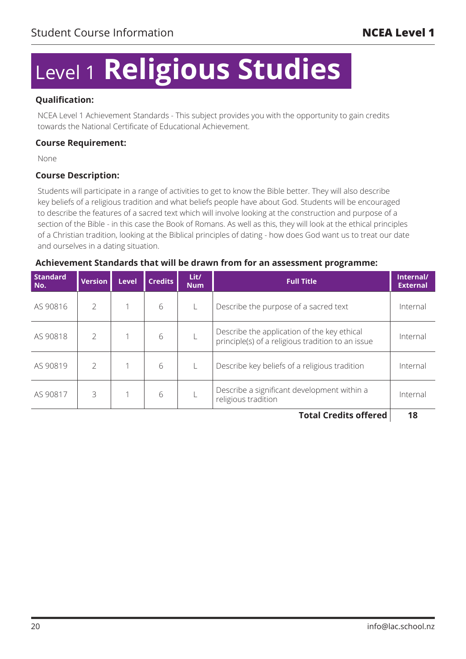### Level 1 **Religious Studies**

#### **Qualification:**

NCEA Level 1 Achievement Standards - This subject provides you with the opportunity to gain credits towards the National Certificate of Educational Achievement.

#### **Course Requirement:**

None

#### **Course Description:**

Students will participate in a range of activities to get to know the Bible better. They will also describe key beliefs of a religious tradition and what beliefs people have about God. Students will be encouraged to describe the features of a sacred text which will involve looking at the construction and purpose of a section of the Bible - in this case the Book of Romans. As well as this, they will look at the ethical principles of a Christian tradition, looking at the Biblical principles of dating - how does God want us to treat our date and ourselves in a dating situation.

#### **Achievement Standards that will be drawn from for an assessment programme:**

| <b>Standard</b><br>No. | <b>Version</b> | <b>Level</b> | <b>Credits</b> | Lit/<br><b>Num</b> | <b>Full Title</b>                                                                                | Internal/<br><b>External</b> |
|------------------------|----------------|--------------|----------------|--------------------|--------------------------------------------------------------------------------------------------|------------------------------|
| AS 90816               |                |              | 6              |                    | Describe the purpose of a sacred text                                                            | Internal                     |
| AS 90818               | $\mathcal{P}$  |              | 6              |                    | Describe the application of the key ethical<br>principle(s) of a religious tradition to an issue | Internal                     |
| AS 90819               | $\mathcal{P}$  |              | 6              |                    | Describe key beliefs of a religious tradition                                                    | Internal                     |
| AS 90817               | 3              |              | 6              |                    | Describe a significant development within a<br>religious tradition                               | Internal                     |
|                        |                |              |                |                    | <b>Total Credits offered</b>                                                                     | 18                           |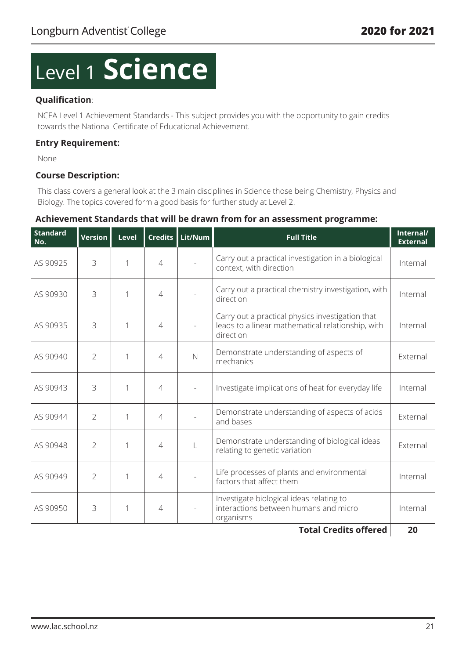### Level 1 **Science**

#### **Qualification**:

NCEA Level 1 Achievement Standards - This subject provides you with the opportunity to gain credits towards the National Certificate of Educational Achievement.

#### **Entry Requirement:**

None

#### **Course Description:**

This class covers a general look at the 3 main disciplines in Science those being Chemistry, Physics and Biology. The topics covered form a good basis for further study at Level 2.

#### **Achievement Standards that will be drawn from for an assessment programme:**

| <b>Standard</b><br>No. | <b>Version</b> | Level |                | Credits   Lit/Num | <b>Full Title</b>                                                                                                  | Internal/<br><b>External</b> |
|------------------------|----------------|-------|----------------|-------------------|--------------------------------------------------------------------------------------------------------------------|------------------------------|
| AS 90925               | 3              | 1     | $\overline{4}$ |                   | Carry out a practical investigation in a biological<br>context, with direction                                     | Internal                     |
| AS 90930               | 3              | 1     | $\overline{4}$ |                   | Carry out a practical chemistry investigation, with<br>direction                                                   | Internal                     |
| AS 90935               | 3              | 1     | $\overline{4}$ |                   | Carry out a practical physics investigation that<br>leads to a linear mathematical relationship, with<br>direction | Internal                     |
| AS 90940               | $\overline{2}$ | 1     | $\overline{4}$ | $\mathbb N$       | Demonstrate understanding of aspects of<br>mechanics                                                               | External                     |
| AS 90943               | 3              | 1     | $\overline{4}$ |                   | Investigate implications of heat for everyday life                                                                 | Internal                     |
| AS 90944               | $\overline{2}$ | 1     | $\overline{4}$ |                   | Demonstrate understanding of aspects of acids<br>and bases                                                         | External                     |
| AS 90948               | $\overline{2}$ | 1     | $\overline{4}$ | L                 | Demonstrate understanding of biological ideas<br>relating to genetic variation                                     | External                     |
| AS 90949               | $\overline{2}$ | 1     | $\overline{4}$ |                   | Life processes of plants and environmental<br>factors that affect them                                             | Internal                     |
| AS 90950               | 3              | 1     | $\overline{4}$ |                   | Investigate biological ideas relating to<br>interactions between humans and micro<br>organisms                     | Internal                     |
|                        |                |       |                |                   | <b>Total Credits offered</b>                                                                                       | 20                           |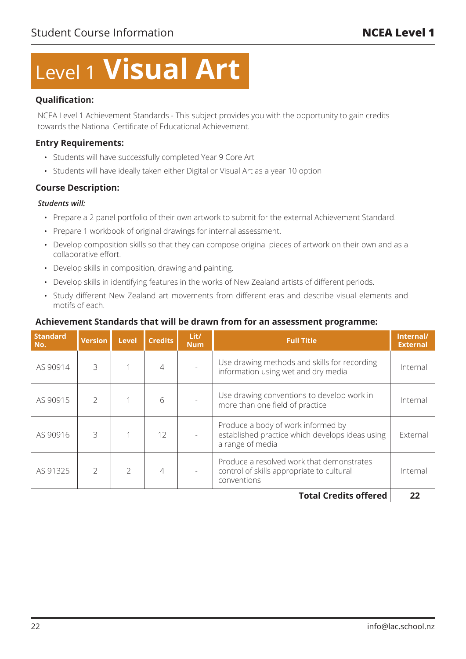### Level 1 **Visual Art**

#### **Qualification:**

NCEA Level 1 Achievement Standards - This subject provides you with the opportunity to gain credits towards the National Certificate of Educational Achievement.

#### **Entry Requirements:**

- Students will have successfully completed Year 9 Core Art
- Students will have ideally taken either Digital or Visual Art as a year 10 option

#### **Course Description:**

#### *Students will:*

- Prepare a 2 panel portfolio of their own artwork to submit for the external Achievement Standard.
- Prepare 1 workbook of original drawings for internal assessment.
- Develop composition skills so that they can compose original pieces of artwork on their own and as a collaborative effort.
- Develop skills in composition, drawing and painting.
- Develop skills in identifying features in the works of New Zealand artists of different periods.
- Study different New Zealand art movements from different eras and describe visual elements and motifs of each.

#### **Achievement Standards that will be drawn from for an assessment programme:**

| <b>Standard</b><br>No. | <b>Version</b> | <b>Level</b> | <b>Credits</b> | Lit/<br><b>Num</b> | <b>Full Title</b>                                                                                         | Internal/<br><b>External</b> |
|------------------------|----------------|--------------|----------------|--------------------|-----------------------------------------------------------------------------------------------------------|------------------------------|
| AS 90914               | 3              |              | $\overline{4}$ |                    | Use drawing methods and skills for recording<br>information using wet and dry media                       | Internal                     |
| AS 90915               | $\mathcal{P}$  |              | 6              |                    | Use drawing conventions to develop work in<br>more than one field of practice                             | Internal                     |
| AS 90916               | 3              |              | 12             |                    | Produce a body of work informed by<br>established practice which develops ideas using<br>a range of media | External                     |
| AS 91325               |                |              | 4              |                    | Produce a resolved work that demonstrates<br>control of skills appropriate to cultural<br>conventions     | Internal                     |

**Total Credits offered 22**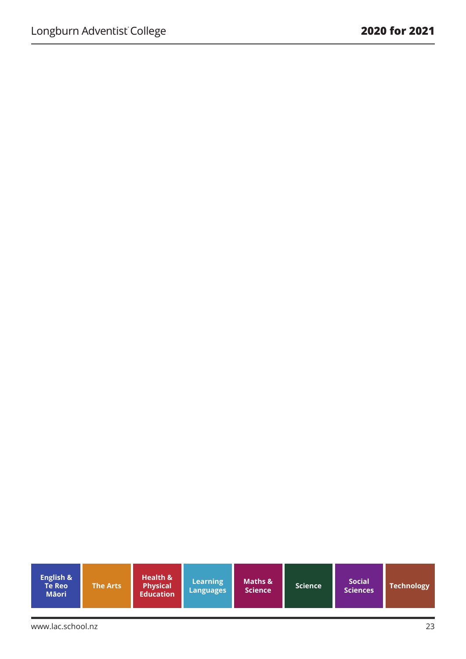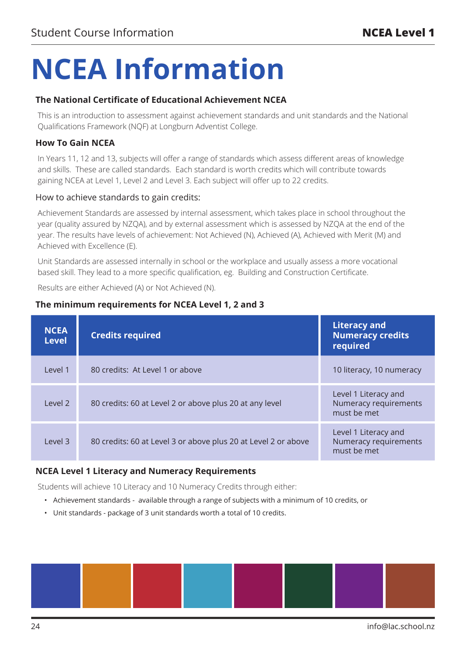# **NCEA Information**

#### **The National Certificate of Educational Achievement NCEA**

This is an introduction to assessment against achievement standards and unit standards and the National Qualifications Framework (NQF) at Longburn Adventist College.

#### **How To Gain NCEA**

In Years 11, 12 and 13, subjects will offer a range of standards which assess different areas of knowledge and skills. These are called standards. Each standard is worth credits which will contribute towards gaining NCEA at Level 1, Level 2 and Level 3. Each subject will offer up to 22 credits.

#### How to achieve standards to gain credits:

Achievement Standards are assessed by internal assessment, which takes place in school throughout the year (quality assured by NZQA), and by external assessment which is assessed by NZQA at the end of the year. The results have levels of achievement: Not Achieved (N), Achieved (A), Achieved with Merit (M) and Achieved with Excellence (E).

Unit Standards are assessed internally in school or the workplace and usually assess a more vocational based skill. They lead to a more specific qualification, eg. Building and Construction Certificate.

Results are either Achieved (A) or Not Achieved (N).

#### **The minimum requirements for NCEA Level 1, 2 and 3**

| <b>NCEA</b><br><b>Level</b> | <b>Credits required</b>                                        | <b>Literacy and</b><br><b>Numeracy credits</b><br>required   |
|-----------------------------|----------------------------------------------------------------|--------------------------------------------------------------|
| Level 1                     | 80 credits: At Level 1 or above                                | 10 literacy, 10 numeracy                                     |
| level 2                     | 80 credits: 60 at Level 2 or above plus 20 at any level        | Level 1 Literacy and<br>Numeracy requirements<br>must be met |
| Level 3                     | 80 credits: 60 at Level 3 or above plus 20 at Level 2 or above | Level 1 Literacy and<br>Numeracy requirements<br>must be met |

#### **NCEA Level 1 Literacy and Numeracy Requirements**

Students will achieve 10 Literacy and 10 Numeracy Credits through either:

- Achievement standards available through a range of subjects with a minimum of 10 credits, or
- Unit standards package of 3 unit standards worth a total of 10 credits.

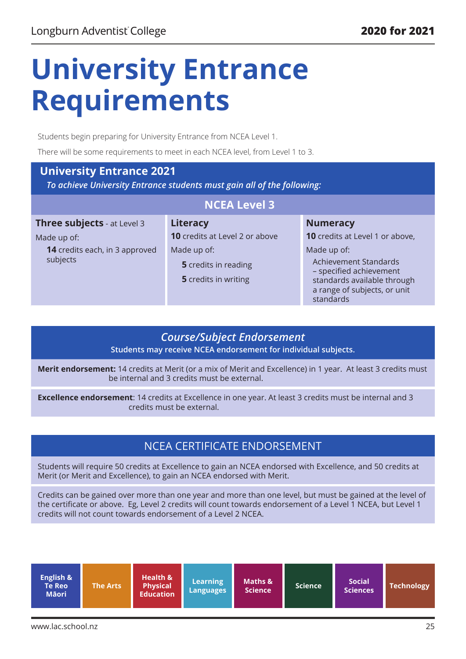### **University Entrance Requirements**

Students begin preparing for University Entrance from NCEA Level 1.

There will be some requirements to meet in each NCEA level, from Level 1 to 3.

#### **University Entrance 2021**

*To achieve University Entrance students must gain all of the following:*

| <b>NCEA Level 3</b>                   |                                       |                                                         |  |  |  |  |  |
|---------------------------------------|---------------------------------------|---------------------------------------------------------|--|--|--|--|--|
| Three subjects - at Level 3           | Literacy                              | <b>Numeracy</b>                                         |  |  |  |  |  |
| Made up of:                           | <b>10</b> credits at Level 2 or above | <b>10</b> credits at Level 1 or above,                  |  |  |  |  |  |
| <b>14</b> credits each, in 3 approved | Made up of:                           | Made up of:                                             |  |  |  |  |  |
| subjects                              | <b>5</b> credits in reading           | <b>Achievement Standards</b><br>- specified achievement |  |  |  |  |  |
|                                       | <b>5</b> credits in writing           | standards available through                             |  |  |  |  |  |
|                                       |                                       | a range of subjects, or unit<br>standards               |  |  |  |  |  |

#### *Course/Subject Endorsement*

**Students may receive NCEA endorsement for individual subjects.**

**Merit endorsement:** 14 credits at Merit (or a mix of Merit and Excellence) in 1 year. At least 3 credits must be internal and 3 credits must be external.

**Excellence endorsement**: 14 credits at Excellence in one year. At least 3 credits must be internal and 3 credits must be external.

#### NCEA CERTIFICATE ENDORSEMENT

Students will require 50 credits at Excellence to gain an NCEA endorsed with Excellence, and 50 credits at Merit (or Merit and Excellence), to gain an NCEA endorsed with Merit.

Credits can be gained over more than one year and more than one level, but must be gained at the level of the certificate or above. Eg, Level 2 credits will count towards endorsement of a Level 1 NCEA, but Level 1 credits will not count towards endorsement of a Level 2 NCEA.

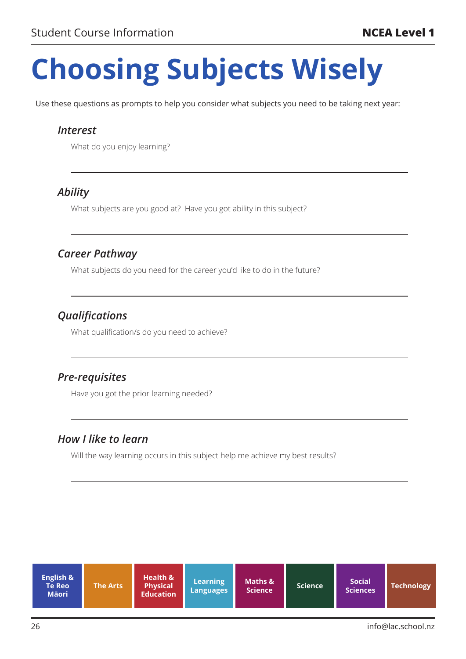# **Choosing Subjects Wisely**

Use these questions as prompts to help you consider what subjects you need to be taking next year:

#### *Interest*

What do you enjoy learning?

#### *Ability*

What subjects are you good at? Have you got ability in this subject?

#### *Career Pathway*

What subjects do you need for the career you'd like to do in the future?

#### *Qualifications*

What qualification/s do you need to achieve?

#### *Pre-requisites*

Have you got the prior learning needed?

#### *How I like to learn*

Will the way learning occurs in this subject help me achieve my best results?

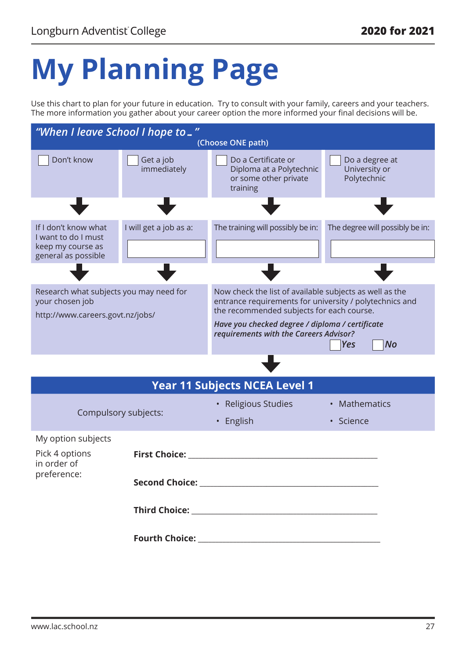# **My Planning Page**

Use this chart to plan for your future in education. Try to consult with your family, careers and your teachers. The more information you gather about your career option the more informed your final decisions will be.